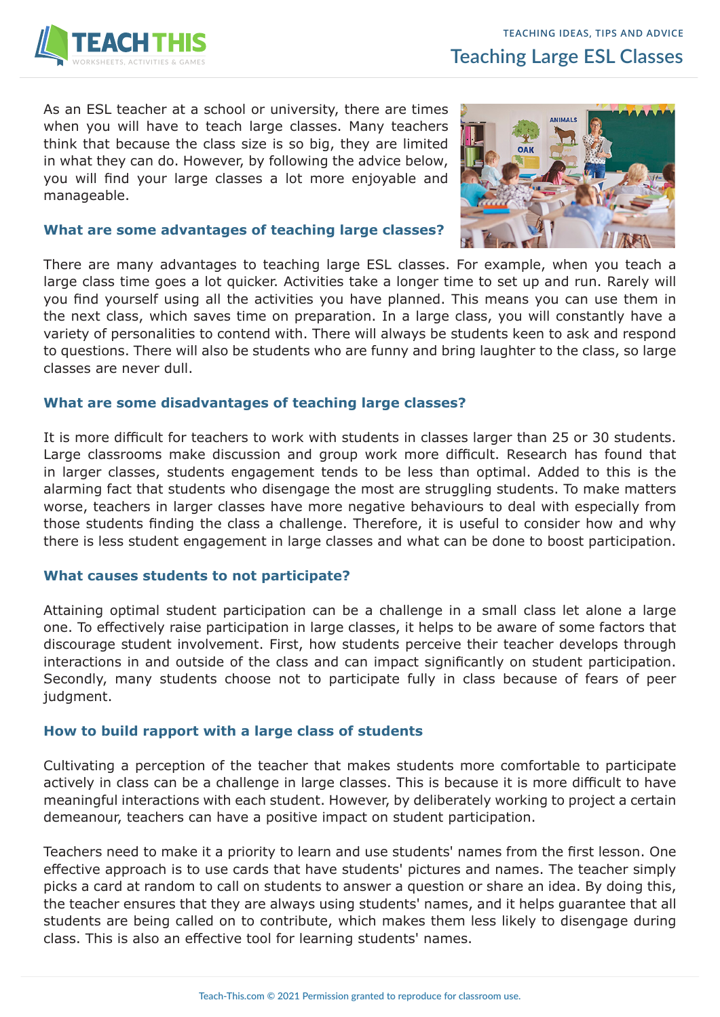

As an ESL teacher at a school or university, there are times when you will have to teach large classes. Many teachers think that because the class size is so big, they are limited in what they can do. However, by following the advice below, you will find your large classes a lot more enjoyable and manageable.



#### **What are some advantages of teaching large classes?**

There are many advantages to teaching large ESL classes. For example, when you teach a large class time goes a lot quicker. Activities take a longer time to set up and run. Rarely will you find yourself using all the activities you have planned. This means you can use them in the next class, which saves time on preparation. In a large class, you will constantly have a variety of personalities to contend with. There will always be students keen to ask and respond to questions. There will also be students who are funny and bring laughter to the class, so large classes are never dull.

## **What are some disadvantages of teaching large classes?**

It is more difficult for teachers to work with students in classes larger than 25 or 30 students. Large classrooms make discussion and group work more difficult. Research has found that in larger classes, students engagement tends to be less than optimal. Added to this is the alarming fact that students who disengage the most are struggling students. To make matters worse, teachers in larger classes have more negative behaviours to deal with especially from those students finding the class a challenge. Therefore, it is useful to consider how and why there is less student engagement in large classes and what can be done to boost participation.

### **What causes students to not participate?**

Attaining optimal student participation can be a challenge in a small class let alone a large one. To effectively raise participation in large classes, it helps to be aware of some factors that discourage student involvement. First, how students perceive their teacher develops through interactions in and outside of the class and can impact significantly on student participation. Secondly, many students choose not to participate fully in class because of fears of peer judgment.

# **How to build rapport with a large class of students**

Cultivating a perception of the teacher that makes students more comfortable to participate actively in class can be a challenge in large classes. This is because it is more difficult to have meaningful interactions with each student. However, by deliberately working to project a certain demeanour, teachers can have a positive impact on student participation.

Teachers need to make it a priority to learn and use students' names from the first lesson. One effective approach is to use cards that have students' pictures and names. The teacher simply picks a card at random to call on students to answer a question or share an idea. By doing this, the teacher ensures that they are always using students' names, and it helps guarantee that all students are being called on to contribute, which makes them less likely to disengage during class. This is also an effective tool for learning students' names.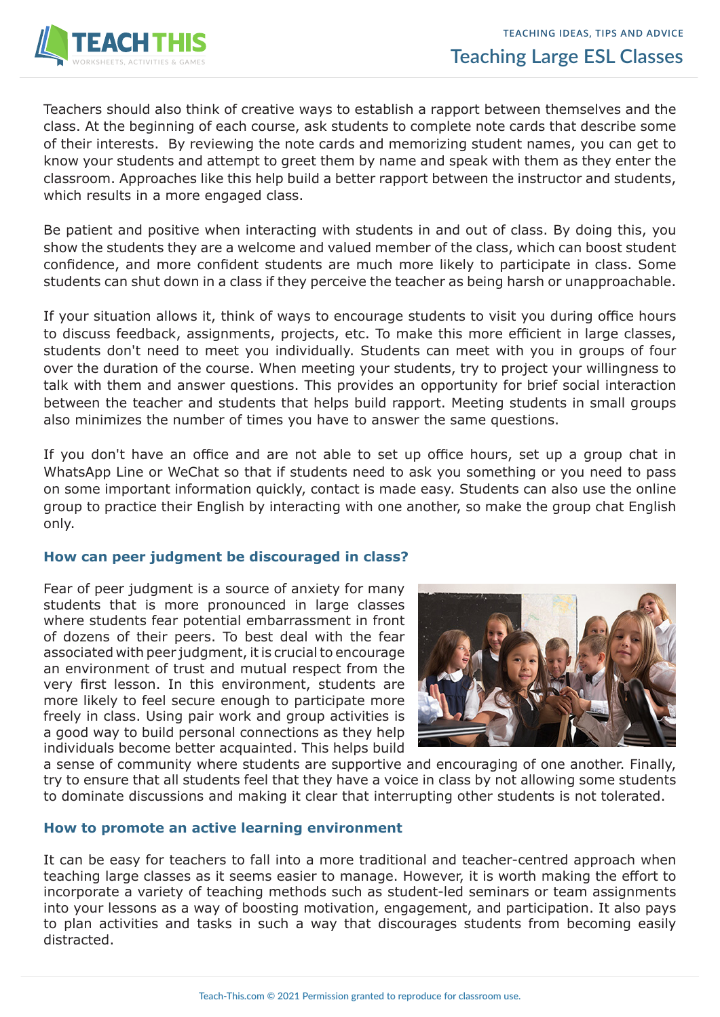

Teachers should also think of creative ways to establish a rapport between themselves and the class. At the beginning of each course, ask students to complete note cards that describe some of their interests. By reviewing the note cards and memorizing student names, you can get to know your students and attempt to greet them by name and speak with them as they enter the classroom. Approaches like this help build a better rapport between the instructor and students, which results in a more engaged class.

Be patient and positive when interacting with students in and out of class. By doing this, you show the students they are a welcome and valued member of the class, which can boost student confidence, and more confident students are much more likely to participate in class. Some students can shut down in a class if they perceive the teacher as being harsh or unapproachable.

If your situation allows it, think of ways to encourage students to visit you during office hours to discuss feedback, assignments, projects, etc. To make this more efficient in large classes, students don't need to meet you individually. Students can meet with you in groups of four over the duration of the course. When meeting your students, try to project your willingness to talk with them and answer questions. This provides an opportunity for brief social interaction between the teacher and students that helps build rapport. Meeting students in small groups also minimizes the number of times you have to answer the same questions.

If you don't have an office and are not able to set up office hours, set up a group chat in WhatsApp Line or WeChat so that if students need to ask you something or you need to pass on some important information quickly, contact is made easy. Students can also use the online group to practice their English by interacting with one another, so make the group chat English only.

### **How can peer judgment be discouraged in class?**

Fear of peer judgment is a source of anxiety for many students that is more pronounced in large classes where students fear potential embarrassment in front of dozens of their peers. To best deal with the fear associated with peer judgment, it is crucial to encourage an environment of trust and mutual respect from the very first lesson. In this environment, students are more likely to feel secure enough to participate more freely in class. Using pair work and group activities is a good way to build personal connections as they help individuals become better acquainted. This helps build



a sense of community where students are supportive and encouraging of one another. Finally, try to ensure that all students feel that they have a voice in class by not allowing some students to dominate discussions and making it clear that interrupting other students is not tolerated.

### **How to promote an active learning environment**

It can be easy for teachers to fall into a more traditional and teacher-centred approach when teaching large classes as it seems easier to manage. However, it is worth making the effort to incorporate a variety of teaching methods such as student-led seminars or team assignments into your lessons as a way of boosting motivation, engagement, and participation. It also pays to plan activities and tasks in such a way that discourages students from becoming easily distracted.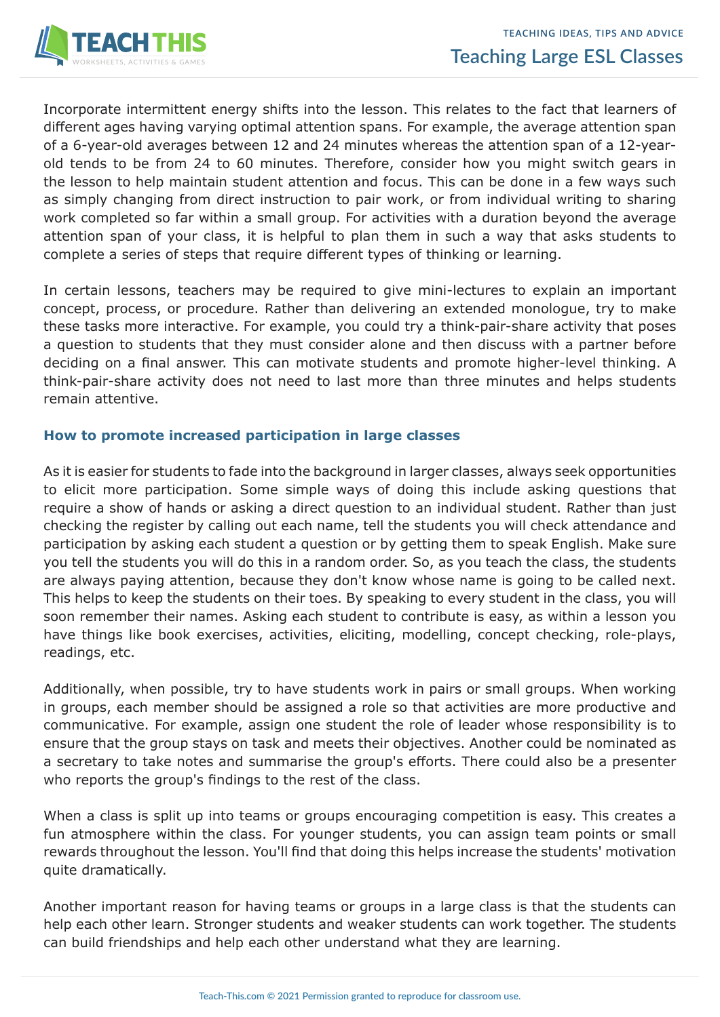

Incorporate intermittent energy shifts into the lesson. This relates to the fact that learners of different ages having varying optimal attention spans. For example, the average attention span of a 6-year-old averages between 12 and 24 minutes whereas the attention span of a 12-yearold tends to be from 24 to 60 minutes. Therefore, consider how you might switch gears in the lesson to help maintain student attention and focus. This can be done in a few ways such as simply changing from direct instruction to pair work, or from individual writing to sharing work completed so far within a small group. For activities with a duration beyond the average attention span of your class, it is helpful to plan them in such a way that asks students to complete a series of steps that require different types of thinking or learning.

In certain lessons, teachers may be required to give mini-lectures to explain an important concept, process, or procedure. Rather than delivering an extended monologue, try to make these tasks more interactive. For example, you could try a think-pair-share activity that poses a question to students that they must consider alone and then discuss with a partner before deciding on a final answer. This can motivate students and promote higher-level thinking. A think-pair-share activity does not need to last more than three minutes and helps students remain attentive.

## **How to promote increased participation in large classes**

As it is easier for students to fade into the background in larger classes, always seek opportunities to elicit more participation. Some simple ways of doing this include asking questions that require a show of hands or asking a direct question to an individual student. Rather than just checking the register by calling out each name, tell the students you will check attendance and participation by asking each student a question or by getting them to speak English. Make sure you tell the students you will do this in a random order. So, as you teach the class, the students are always paying attention, because they don't know whose name is going to be called next. This helps to keep the students on their toes. By speaking to every student in the class, you will soon remember their names. Asking each student to contribute is easy, as within a lesson you have things like book exercises, activities, eliciting, modelling, concept checking, role-plays, readings, etc.

Additionally, when possible, try to have students work in pairs or small groups. When working in groups, each member should be assigned a role so that activities are more productive and communicative. For example, assign one student the role of leader whose responsibility is to ensure that the group stays on task and meets their objectives. Another could be nominated as a secretary to take notes and summarise the group's efforts. There could also be a presenter who reports the group's findings to the rest of the class.

When a class is split up into teams or groups encouraging competition is easy. This creates a fun atmosphere within the class. For younger students, you can assign team points or small rewards throughout the lesson. You'll find that doing this helps increase the students' motivation quite dramatically.

Another important reason for having teams or groups in a large class is that the students can help each other learn. Stronger students and weaker students can work together. The students can build friendships and help each other understand what they are learning.